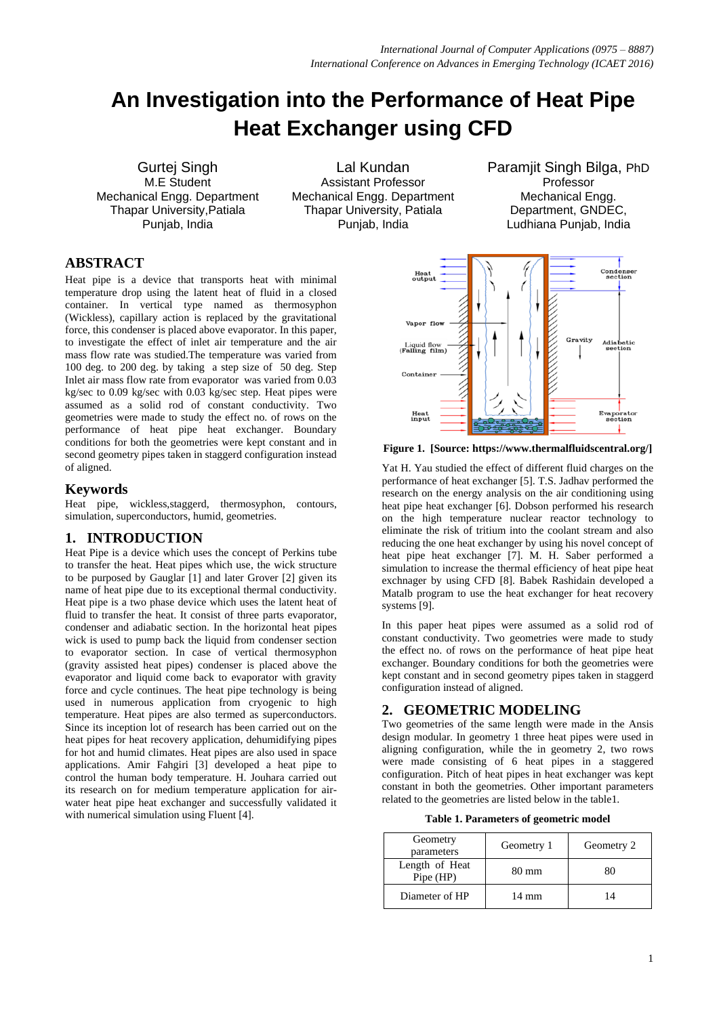# **An Investigation into the Performance of Heat Pipe Heat Exchanger using CFD**

Gurtej Singh M.E Student Mechanical Engg. Department Thapar University,Patiala Punjab, India

Lal Kundan Assistant Professor Mechanical Engg. Department Thapar University, Patiala Punjab, India

Paramjit Singh Bilga, PhD Professor Mechanical Engg. Department, GNDEC, Ludhiana Punjab, India

# **ABSTRACT**

Heat pipe is a device that transports heat with minimal temperature drop using the latent heat of fluid in a closed container. In vertical type named as thermosyphon (Wickless), capillary action is replaced by the gravitational force, this condenser is placed above evaporator. In this paper, to investigate the effect of inlet air temperature and the air mass flow rate was studied.The temperature was varied from 100 deg. to 200 deg. by taking a step size of 50 deg. Step Inlet air mass flow rate from evaporator was varied from 0.03 kg/sec to 0.09 kg/sec with 0.03 kg/sec step. Heat pipes were assumed as a solid rod of constant conductivity. Two geometries were made to study the effect no. of rows on the performance of heat pipe heat exchanger. Boundary conditions for both the geometries were kept constant and in second geometry pipes taken in staggerd configuration instead of aligned.

# **Keywords**

Heat pipe, wickless,staggerd, thermosyphon, contours, simulation, superconductors, humid, geometries.

# **1. INTRODUCTION**

Heat Pipe is a device which uses the concept of Perkins tube to transfer the heat. Heat pipes which use, the wick structure to be purposed by Gauglar [1] and later Grover [2] given its name of heat pipe due to its exceptional thermal conductivity. Heat pipe is a two phase device which uses the latent heat of fluid to transfer the heat. It consist of three parts evaporator, condenser and adiabatic section. In the horizontal heat pipes wick is used to pump back the liquid from condenser section to evaporator section. In case of vertical thermosyphon (gravity assisted heat pipes) condenser is placed above the evaporator and liquid come back to evaporator with gravity force and cycle continues. The heat pipe technology is being used in numerous application from cryogenic to high temperature. Heat pipes are also termed as superconductors. Since its inception lot of research has been carried out on the heat pipes for heat recovery application, dehumidifying pipes for hot and humid climates. Heat pipes are also used in space applications. Amir Fahgiri [3] developed a heat pipe to control the human body temperature. H. Jouhara carried out its research on for medium temperature application for airwater heat pipe heat exchanger and successfully validated it with numerical simulation using Fluent [4].



**Figure 1. [Source: https://www.thermalfluidscentral.org/]**

Yat H. Yau studied the effect of different fluid charges on the performance of heat exchanger [5]. T.S. Jadhav performed the research on the energy analysis on the air conditioning using heat pipe heat exchanger [6]. Dobson performed his research on the high temperature nuclear reactor technology to eliminate the risk of tritium into the coolant stream and also reducing the one heat exchanger by using his novel concept of heat pipe heat exchanger [7]. M. H. Saber performed a simulation to increase the thermal efficiency of heat pipe heat exchnager by using CFD [8]. Babek Rashidain developed a Matalb program to use the heat exchanger for heat recovery systems [9].

In this paper heat pipes were assumed as a solid rod of constant conductivity. Two geometries were made to study the effect no. of rows on the performance of heat pipe heat exchanger. Boundary conditions for both the geometries were kept constant and in second geometry pipes taken in staggerd configuration instead of aligned.

# **2. GEOMETRIC MODELING**

Two geometries of the same length were made in the Ansis design modular. In geometry 1 three heat pipes were used in aligning configuration, while the in geometry 2, two rows were made consisting of 6 heat pipes in a staggered configuration. Pitch of heat pipes in heat exchanger was kept constant in both the geometries. Other important parameters related to the geometries are listed below in the table1.

**Table 1. Parameters of geometric model**

| Geometry<br>parameters      | Geometry 1 | Geometry 2 |
|-----------------------------|------------|------------|
| Length of Heat<br>Pipe (HP) | 80 mm      | 80         |
| Diameter of HP              | 14 mm      |            |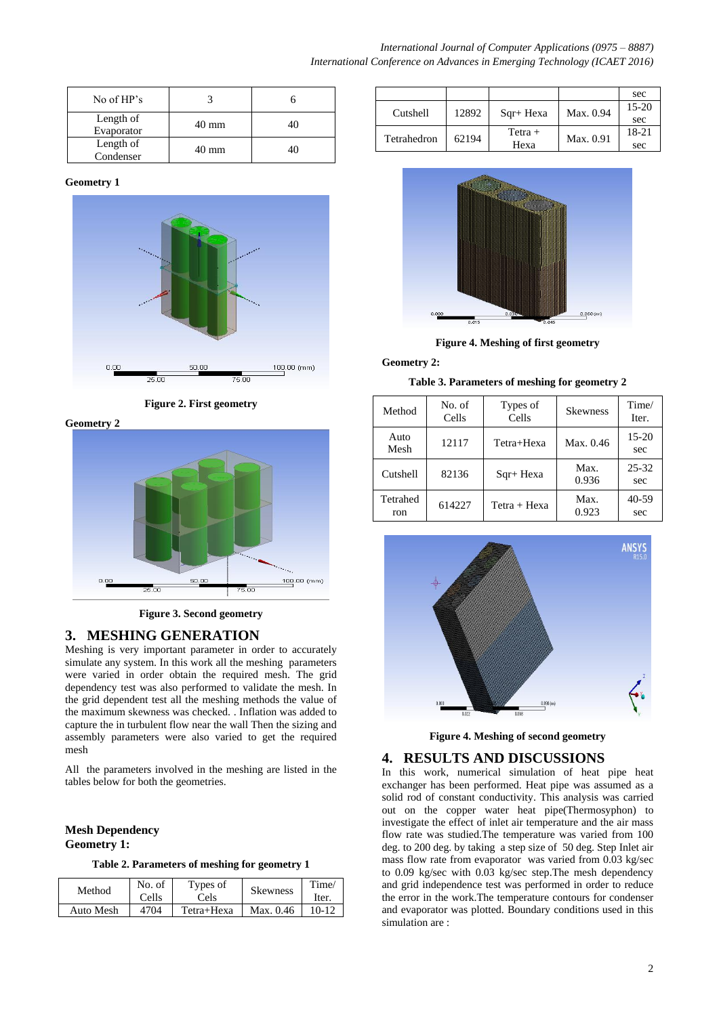| No of HP's              |                 |    |
|-------------------------|-----------------|----|
| Length of<br>Evaporator | $40 \text{ mm}$ | 40 |
| Length of<br>Condenser  | 40 mm           | 40 |

#### **Geometry 1**



**Figure 2. First geometry**

**Geometry 2**



**Figure 3. Second geometry**

# **3. MESHING GENERATION**

Meshing is very important parameter in order to accurately simulate any system. In this work all the meshing parameters were varied in order obtain the required mesh. The grid dependency test was also performed to validate the mesh. In the grid dependent test all the meshing methods the value of the maximum skewness was checked. . Inflation was added to capture the in turbulent flow near the wall Then the sizing and assembly parameters were also varied to get the required mesh

All the parameters involved in the meshing are listed in the tables below for both the geometries.

### **Mesh Dependency Geometry 1:**

**Table 2. Parameters of meshing for geometry 1**

| Method    | No. of<br>Cells | Types of<br>Cels | <b>Skewness</b> | Time/<br>Iter. |
|-----------|-----------------|------------------|-----------------|----------------|
| Auto Mesh | 4704            | Tetra+Hexa       | Max. $0.46$     | $10-12$        |

|             |       |            |           | sec     |
|-------------|-------|------------|-----------|---------|
| Cutshell    | 12892 | $Sqr+Hexa$ | Max. 0.94 | $15-20$ |
|             |       |            |           | sec     |
| Tetrahedron | 62194 | $Tetra +$  | Max. 0.91 | 18-21   |
|             |       | Hexa       |           | sec     |



**Figure 4. Meshing of first geometry**

#### **Geometry 2:**

**Table 3. Parameters of meshing for geometry 2**

| Method          | No. of<br>Cells | Types of<br>Cells | <b>Skewness</b> | Time/<br>Iter. |
|-----------------|-----------------|-------------------|-----------------|----------------|
| Auto<br>Mesh    | 12117           | Tetra+Hexa        | Max. 0.46       | $15-20$<br>sec |
| Cutshell        | 82136           | $Sqr+Hexa$        | Max.<br>0.936   | 25-32<br>sec   |
| Tetrahed<br>ron | 614227          | Tetra + Hexa      | Max.<br>0.923   | 40-59<br>sec   |



**Figure 4. Meshing of second geometry**

# **4. RESULTS AND DISCUSSIONS**

In this work, numerical simulation of heat pipe heat exchanger has been performed. Heat pipe was assumed as a solid rod of constant conductivity. This analysis was carried out on the copper water heat pipe(Thermosyphon) to investigate the effect of inlet air temperature and the air mass flow rate was studied.The temperature was varied from 100 deg. to 200 deg. by taking a step size of 50 deg. Step Inlet air mass flow rate from evaporator was varied from 0.03 kg/sec to 0.09 kg/sec with 0.03 kg/sec step.The mesh dependency and grid independence test was performed in order to reduce the error in the work.The temperature contours for condenser and evaporator was plotted. Boundary conditions used in this simulation are :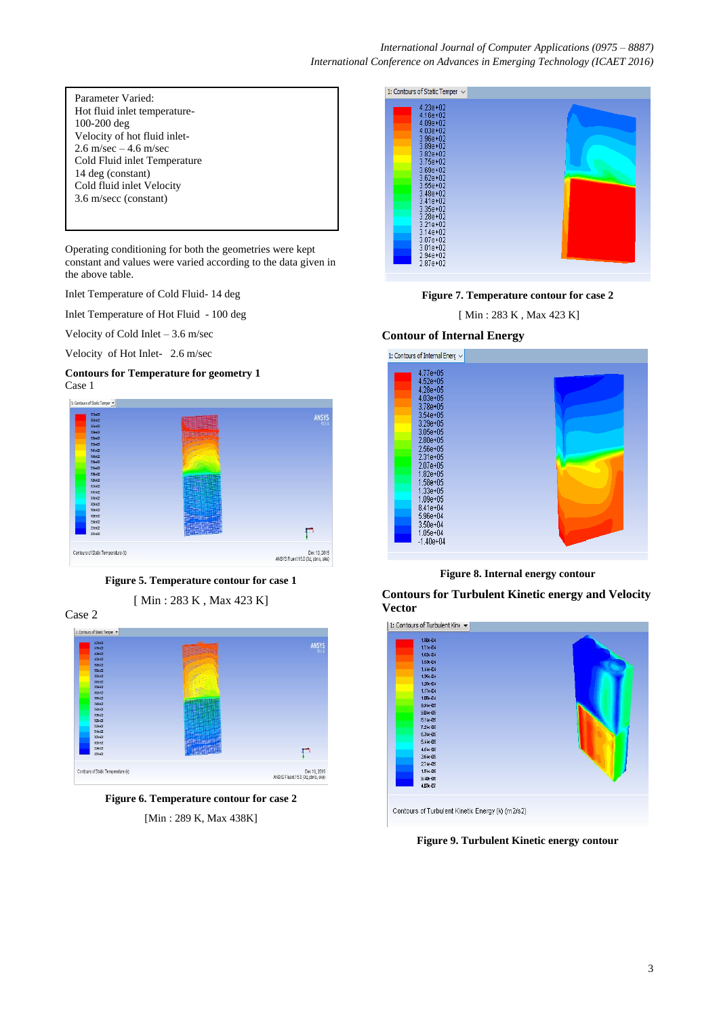| Parameter Varied:            |
|------------------------------|
| Hot fluid inlet temperature- |
| 100-200 deg                  |
| Velocity of hot fluid inlet- |
| 2.6 m/sec $-4.6$ m/sec       |
| Cold Fluid inlet Temperature |
| 14 deg (constant)            |
| Cold fluid inlet Velocity    |
| 3.6 m/secc (constant)        |
|                              |

Operating conditioning for both the geometries were kept constant and values were varied according to the data given in the above table.

Inlet Temperature of Cold Fluid- 14 deg

Inlet Temperature of Hot Fluid - 100 deg

Velocity of Cold Inlet – 3.6 m/sec

Velocity of Hot Inlet- 2.6 m/sec

#### **Contours for Temperature for geometry 1** Case 1







[ Min : 283 K , Max 423 K]

Case 2



**Figure 6. Temperature contour for case 2** [Min : 289 K, Max 438K]





# **Contour of Internal Energy**



**Figure 8. Internal energy contour** 

**Contours for Turbulent Kinetic energy and Velocity Vector**



Contours of Turbulent Kinetic Energy (k) (m2/s2)

**Figure 9. Turbulent Kinetic energy contour**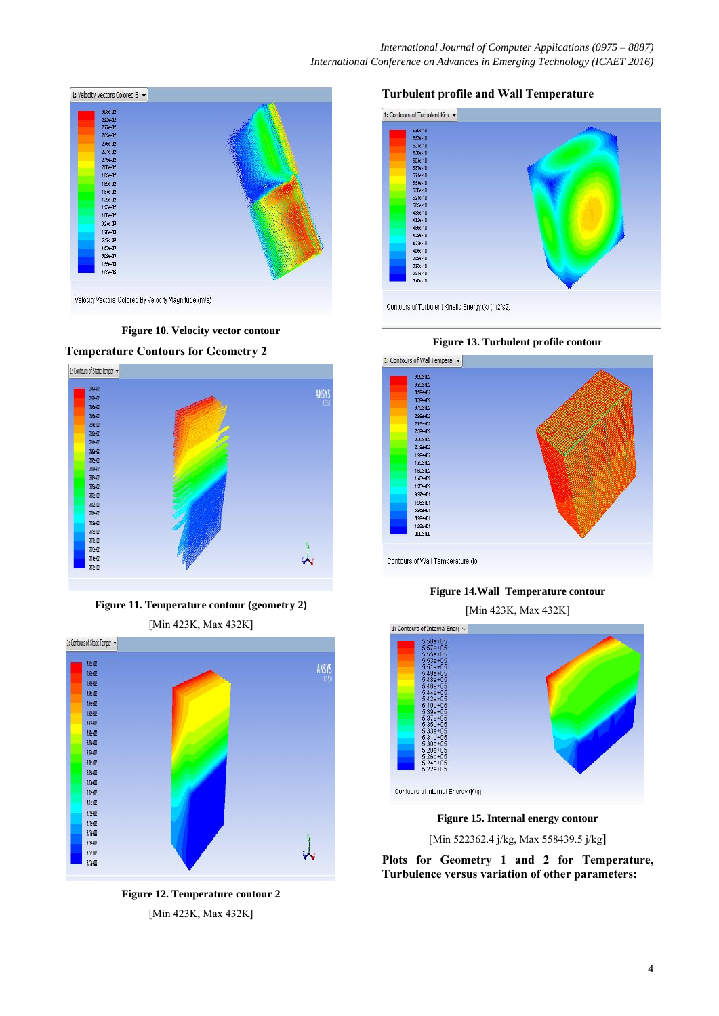

**Figure 10. Velocity vector contour** 



**Figure 11. Temperature contour (geometry 2)** [Min 423K, Max 432K]



**Figure 12. Temperature contour 2** [Min 423K, Max 432K]

#### **Turbulent profile and Wall Temperature**







# **Figure 14.Wall Temperature contour**

[Min 423K, Max 432K]



**Figure 15. Internal energy contour** 

[Min 522362.4 j/kg, Max 558439.5 j/kg]

**Plots for Geometry 1 and 2 for Temperature, Turbulence versus variation of other parameters:**